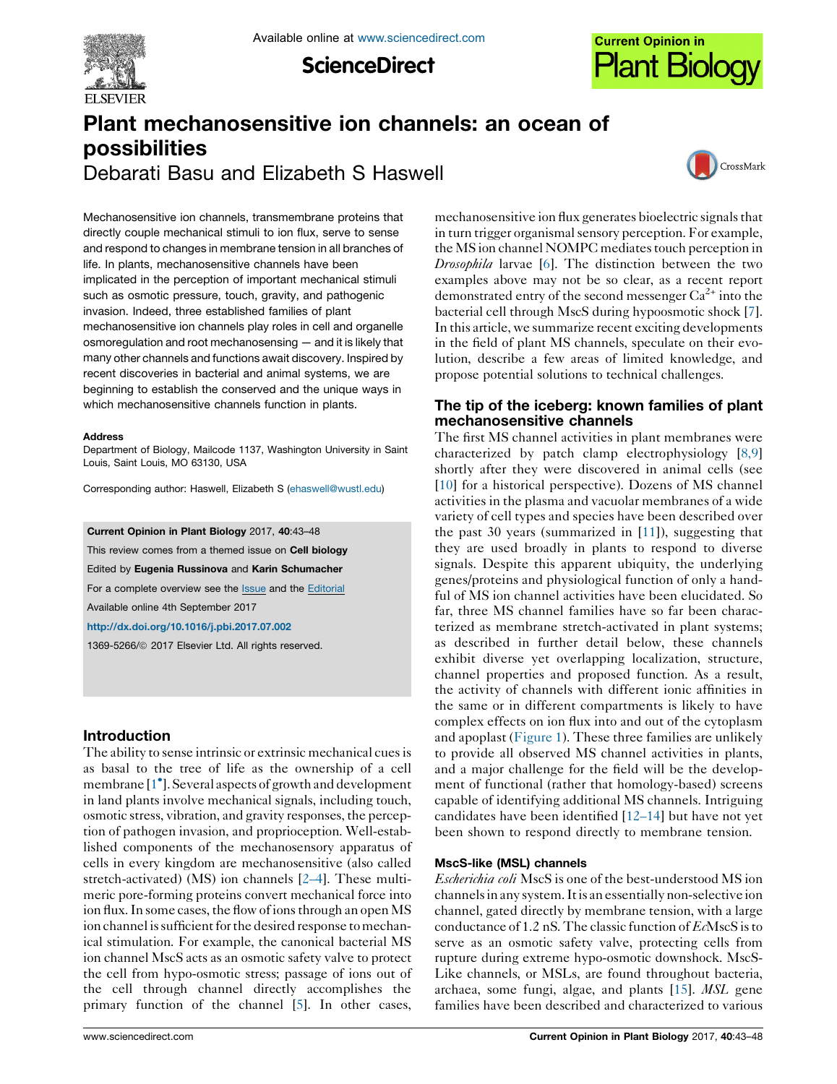

**ScienceDirect** 



# Plant mechanosensitive ion channels: an ocean of possibilities Debarati Basu and Elizabeth S Haswell



Mechanosensitive ion channels, transmembrane proteins that directly couple mechanical stimuli to ion flux, serve to sense and respond to changes in membrane tension in all branches of life. In plants, mechanosensitive channels have been implicated in the perception of important mechanical stimuli such as osmotic pressure, touch, gravity, and pathogenic invasion. Indeed, three established families of plant mechanosensitive ion channels play roles in cell and organelle osmoregulation and root mechanosensing — and it is likely that many other channels and functions await discovery. Inspired by recent discoveries in bacterial and animal systems, we are beginning to establish the conserved and the unique ways in which mechanosensitive channels function in plants.

#### Address

Department of Biology, Mailcode 1137, Washington University in Saint Louis, Saint Louis, MO 63130, USA

Corresponding author: Haswell, Elizabeth S [\(ehaswell@wustl.edu](mailto:ehaswell@wustl.edu))

Current Opinion in Plant Biology 2017, 40:43–48

This review comes from a themed issue on Cell biology

Edited by Eugenia Russinova and Karin Schumacher

For a complete overview see the [Issue](http://www.sciencedirect.com/science/journal/13695266/40) and the [Editorial](http://dx.doi.org/10.1016/j.pbi.2017.10.004)

Available online 4th September 2017

<http://dx.doi.org/10.1016/j.pbi.2017.07.002>

1369-5266/ã 2017 Elsevier Ltd. All rights reserved.

# Introduction

The ability to sense intrinsic or extrinsic mechanical cues is as basal to the tree of life as the ownership of a cell membrane [1 ].Several aspects of growth and [development](#page-3-0) in land plants involve mechanical signals, including touch, osmotic stress, vibration, and gravity responses, the perception of pathogen invasion, and proprioception. Well-established components of the mechanosensory apparatus of cells in every kingdom are mechanosensitive (also called stretch-activated) (MS) ion channels [\[2–4](#page-4-0)]. These multimeric pore-forming proteins convert mechanical force into ion flux. In some cases, the flow of ions through an open MS ion channel is sufficient for the desired response to mechanical stimulation. For example, the canonical bacterial MS ion channel MscS acts as an osmotic safety valve to protect the cell from hypo-osmotic stress; passage of ions out of the cell through channel directly accomplishes the primary function of the channel [\[5\]](#page-4-0). In other cases,

mechanosensitive ion flux generates bioelectric signalsthat in turn trigger organismal sensory perception. For example, the MS ion channel NOMPC mediates touch perception in Drosophila larvae [[6\]](#page-4-0). The distinction between the two examples above may not be so clear, as a recent report demonstrated entry of the second messenger  $Ca^{2+}$  into the bacterial cell through MscS during hypoosmotic shock [[7\]](#page-4-0). In this article, we summarize recent exciting developments in the field of plant MS channels, speculate on their evolution, describe a few areas of limited knowledge, and propose potential solutions to technical challenges.

# The tip of the iceberg: known families of plant mechanosensitive channels

The first MS channel activities in plant membranes were characterized by patch clamp electrophysiology [[8,9](#page-4-0)] shortly after they were discovered in animal cells (see [[10](#page-4-0)] for a historical perspective). Dozens of MS channel activities in the plasma and vacuolar membranes of a wide variety of cell types and species have been described over the past 30 years (summarized in [\[11](#page-4-0)]), suggesting that they are used broadly in plants to respond to diverse signals. Despite this apparent ubiquity, the underlying genes/proteins and physiological function of only a handful of MS ion channel activities have been elucidated. So far, three MS channel families have so far been characterized as membrane stretch-activated in plant systems; as described in further detail below, these channels exhibit diverse yet overlapping localization, structure, channel properties and proposed function. As a result, the activity of channels with different ionic affinities in the same or in different compartments is likely to have complex effects on ion flux into and out of the cytoplasm and apoplast [\(Figure](#page-1-0) 1). These three families are unlikely to provide all observed MS channel activities in plants, and a major challenge for the field will be the development of functional (rather that homology-based) screens capable of identifying additional MS channels. Intriguing candidates have been identified [[12–14](#page-4-0)] but have not yet been shown to respond directly to membrane tension.

## MscS-like (MSL) channels

Escherichia coli MscS is one of the best-understood MS ion channelsin any system.Itis an essentiallynon-selective ion channel, gated directly by membrane tension, with a large conductance of 1.2 nS. The classic function of  $E<sub>c</sub>$ MscS is to serve as an osmotic safety valve, protecting cells from rupture during extreme hypo-osmotic downshock. MscS-Like channels, or MSLs, are found throughout bacteria, archaea, some fungi, algae, and plants [[15](#page-4-0)]. MSL gene families have been described and characterized to various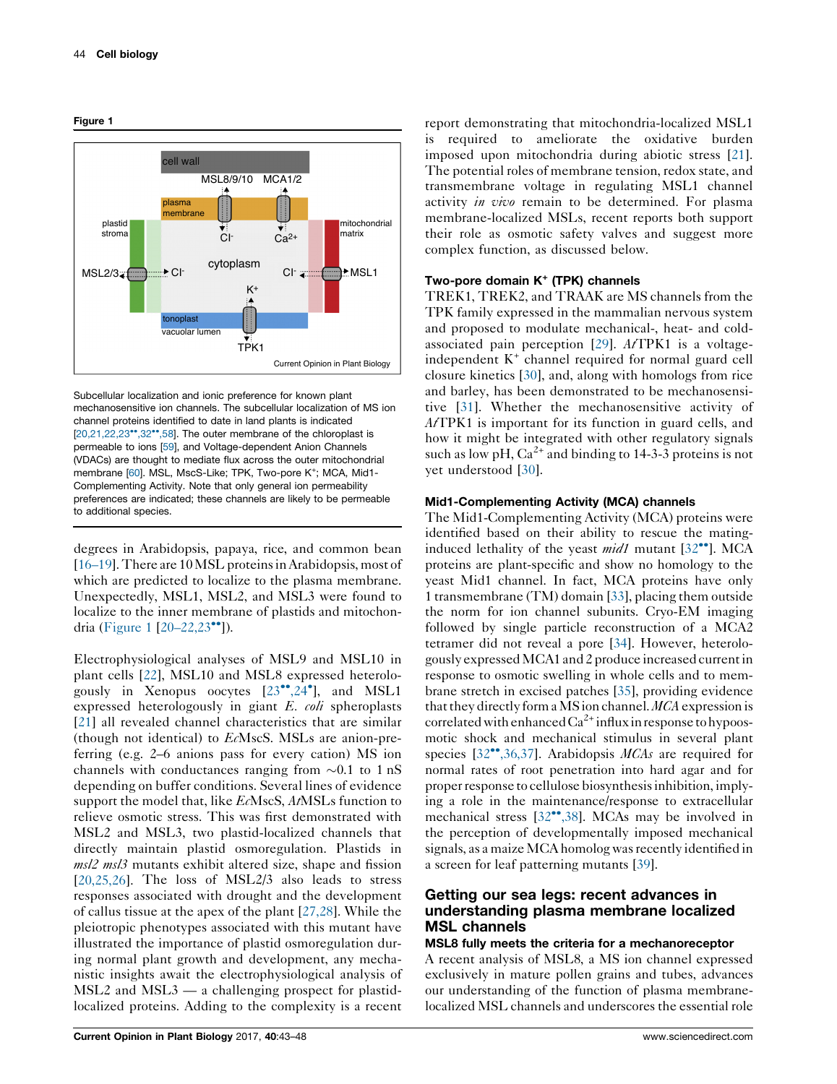

<span id="page-1-0"></span>Figure 1

Subcellular localization and ionic preference for known plant mechanosensitive ion channels. The subcellular localization of MS ion channel proteins identified to date in land plants is indicated  $[20.21.22.23$ <sup>\*</sup> $.32$ <sup>\*</sup> $.58$ ]. The outer membrane of the chloroplast is permeable to ions [\[59\]](#page-5-0), and Voltage-dependent Anion Channels (VDACs) are thought to mediate flux across the outer mitochondrial membrane [\[60\]](#page-5-0). MSL, MscS-Like; TPK, Two-pore K<sup>+</sup>; MCA, Mid1-Complementing Activity. Note that only general ion permeability preferences are indicated; these channels are likely to be permeable to additional species.

degrees in Arabidopsis, papaya, rice, and common bean [\[16–19\]](#page-4-0).There are 10MSL proteinsinArabidopsis, most of which are predicted to localize to the plasma membrane. Unexpectedly, MSL1, MSL2, and MSL3 were found to localize to the inner membrane of plastids and mitochondria (Figure 1  $[20-22,23$ <sup>\*\*</sup>]).

Electrophysiological analyses of MSL9 and MSL10 in plant cells [\[22](#page-4-0)], MSL10 and MSL8 expressed heterologously in Xenopus oocytes  $[23^{\bullet\bullet}, 24^{\bullet}]$ , and [MSL1](#page-4-0) expressed heterologously in giant E. coli spheroplasts [\[21](#page-4-0)] all revealed channel characteristics that are similar (though not identical) to EcMscS. MSLs are anion-preferring (e.g. 2–6 anions pass for every cation) MS ion channels with conductances ranging from  $\sim 0.1$  to 1 nS depending on buffer conditions. Several lines of evidence support the model that, like EcMscS, AtMSLs function to relieve osmotic stress. This was first demonstrated with MSL2 and MSL3, two plastid-localized channels that directly maintain plastid osmoregulation. Plastids in msl2 msl3 mutants exhibit altered size, shape and fission  $[20,25,26]$  $[20,25,26]$ . The loss of MSL $2/3$  also leads to stress responses associated with drought and the development of callus tissue at the apex of the plant [\[27,28\]](#page-4-0). While the pleiotropic phenotypes associated with this mutant have illustrated the importance of plastid osmoregulation during normal plant growth and development, any mechanistic insights await the electrophysiological analysis of MSL2 and MSL3 — a challenging prospect for plastidlocalized proteins. Adding to the complexity is a recent

report demonstrating that mitochondria-localized MSL1 is required to ameliorate the oxidative burden imposed upon mitochondria during abiotic stress [[21](#page-4-0)]. The potential roles of membrane tension, redox state, and transmembrane voltage in regulating MSL1 channel activity *in vivo* remain to be determined. For plasma membrane-localized MSLs, recent reports both support their role as osmotic safety valves and suggest more complex function, as discussed below.

#### Two-pore domain  $K^+$  (TPK) channels

TREK1, TREK2, and TRAAK are MS channels from the TPK family expressed in the mammalian nervous system and proposed to modulate mechanical-, heat- and coldassociated pain perception  $[29]$  $[29]$ . AtTPK1 is a voltageindependent K<sup>+</sup> channel required for normal guard cell closure kinetics [\[30](#page-4-0)], and, along with homologs from rice and barley, has been demonstrated to be mechanosensitive [\[31](#page-4-0)]. Whether the mechanosensitive activity of AtTPK1 is important for its function in guard cells, and how it might be integrated with other regulatory signals such as low pH,  $Ca^{2+}$  and binding to 14-3-3 proteins is not yet understood [[30\]](#page-4-0).

#### Mid1-Complementing Activity (MCA) channels

The Mid1-Complementing Activity (MCA) proteins were identified based on their ability to rescue the matinginduced lethality of the yeast  $mid1$  mutant  $[32\text{°}$ . [MCA](#page-4-0) proteins are plant-specific and show no homology to the yeast Mid1 channel. In fact, MCA proteins have only 1 transmembrane (TM) domain [\[33](#page-4-0)], placing them outside the norm for ion channel subunits. Cryo-EM imaging followed by single particle reconstruction of a MCA2 tetramer did not reveal a pore [\[34](#page-4-0)]. However, heterologously expressedMCA1 and 2 produce increased currentin response to osmotic swelling in whole cells and to membrane stretch in excised patches [\[35\]](#page-4-0), providing evidence that they directly form a MS ion channel.  $MCA$  expression is correlated with enhanced  $Ca^{2+}$  influx in response to hypoosmotic shock and mechanical stimulus in several plant species  $[32^{\bullet\bullet}, 36, 37]$ . Arabidopsis *MCAs* are required for normal rates of root penetration into hard agar and for properresponse to cellulose biosynthesisinhibition, implying a role in the maintenance/response to extracellular mechanical stress  $[32^{\bullet\bullet}, 38]$ . MCAs may be involved in the perception of developmentally imposed mechanical signals, as a maize MCA homolog was recently identified in a screen for leaf patterning mutants [\[39](#page-5-0)].

## Getting our sea legs: recent advances in understanding plasma membrane localized MSL channels

#### MSL8 fully meets the criteria for a mechanoreceptor

A recent analysis of MSL8, a MS ion channel expressed exclusively in mature pollen grains and tubes, advances our understanding of the function of plasma membranelocalized MSL channels and underscores the essential role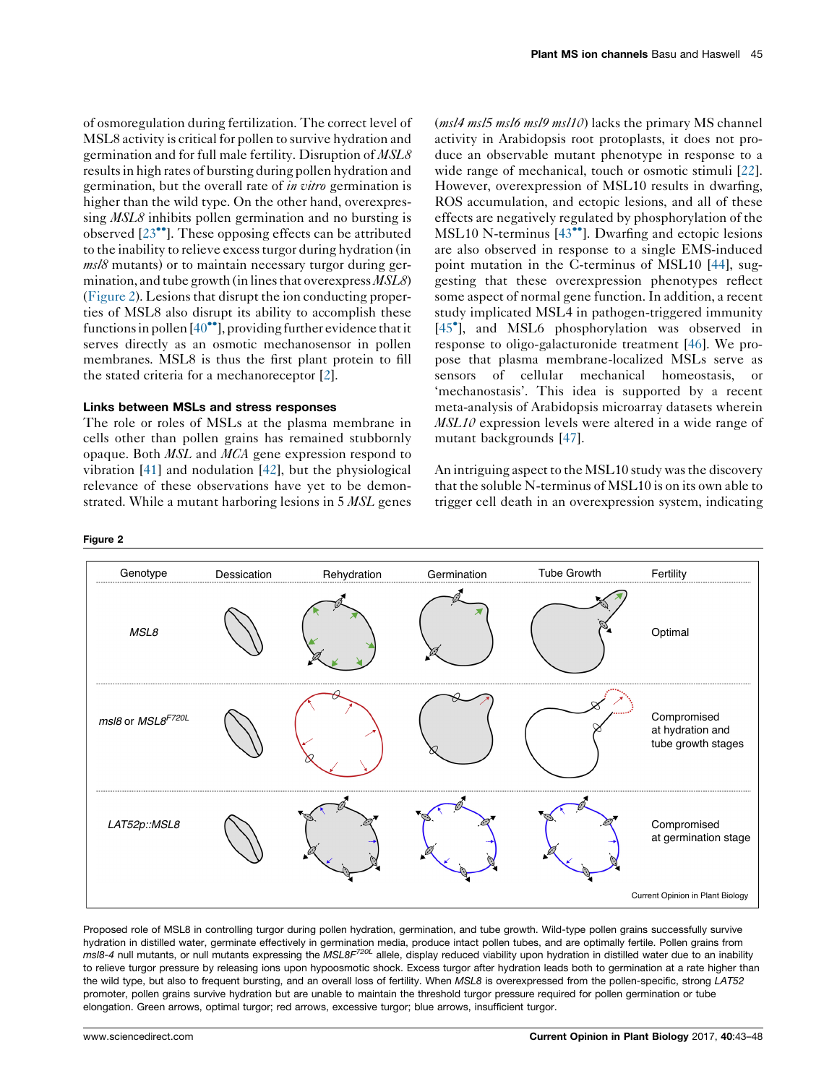of osmoregulation during fertilization. The correct level of MSL8 activity is critical for pollen to survive hydration and germination and for full male fertility. Disruption of MSL8 resultsin high rates of bursting during pollen hydration and germination, but the overall rate of *in vitro* germination is higher than the wild type. On the other hand, overexpressing *MSL8* inhibits pollen germination and no bursting is observed  $[23^{\bullet\bullet}]$ . These opposing effects can be [attributed](#page-4-0) to the inability to relieve excessturgor during hydration (in  $ms/8$  mutants) or to maintain necessary turgor during germination, and tube growth (in lines that overexpress  $MSLS$ )  $(Figure 2)$ . Lesions that disrupt the ion conducting properties of MSL8 also disrupt its ability to accomplish these functions in pollen  $[40\degree]$ , providing further evidence that it serves directly as an osmotic mechanosensor in pollen membranes. MSL8 is thus the first plant protein to fill the stated criteria for a mechanoreceptor [\[2\]](#page-4-0).

#### Links between MSLs and stress responses

The role or roles of MSLs at the plasma membrane in cells other than pollen grains has remained stubbornly opaque. Both MSL and MCA gene expression respond to vibration [\[41](#page-5-0)] and nodulation [[42\]](#page-5-0), but the physiological relevance of these observations have yet to be demonstrated. While a mutant harboring lesions in 5 MSL genes

#### Figure 2

 $(msl4 \, msl5 \, msl6 \, msl9 \, msl10)$  lacks the primary MS channel activity in Arabidopsis root protoplasts, it does not produce an observable mutant phenotype in response to a wide range of mechanical, touch or osmotic stimuli [[22\]](#page-4-0). However, overexpression of MSL10 results in dwarfing, ROS accumulation, and ectopic lesions, and all of these effects are negatively regulated by phosphorylation of the MSL10 N-terminus  $[43^{\bullet\bullet}]$ . [Dwarfing](#page-5-0) and ectopic lesions are also observed in response to a single EMS-induced point mutation in the C-terminus of MSL10 [[44\]](#page-5-0), suggesting that these overexpression phenotypes reflect some aspect of normal gene function. In addition, a recent study implicated MSL4 in pathogen-triggered immunity [45 ], and MSL6 [phosphorylation](#page-5-0) was observed in response to oligo-galacturonide treatment [[46\]](#page-5-0). We propose that plasma membrane-localized MSLs serve as sensors of cellular mechanical homeostasis, or 'mechanostasis'. This idea is supported by a recent meta-analysis of Arabidopsis microarray datasets wherein MSL10 expression levels were altered in a wide range of mutant backgrounds [\[47](#page-5-0)].

An intriguing aspect to the MSL10 study was the discovery that the soluble N-terminus of MSL10 is on its own able to trigger cell death in an overexpression system, indicating



Proposed role of MSL8 in controlling turgor during pollen hydration, germination, and tube growth. Wild-type pollen grains successfully survive hydration in distilled water, germinate effectively in germination media, produce intact pollen tubes, and are optimally fertile. Pollen grains from  $m$ s/8-4 null mutants, or null mutants expressing the MSL8F<sup>720L</sup> allele, display reduced viability upon hydration in distilled water due to an inability to relieve turgor pressure by releasing ions upon hypoosmotic shock. Excess turgor after hydration leads both to germination at a rate higher than the wild type, but also to frequent bursting, and an overall loss of fertility. When MSL8 is overexpressed from the pollen-specific, strong LAT52 promoter, pollen grains survive hydration but are unable to maintain the threshold turgor pressure required for pollen germination or tube elongation. Green arrows, optimal turgor; red arrows, excessive turgor; blue arrows, insufficient turgor.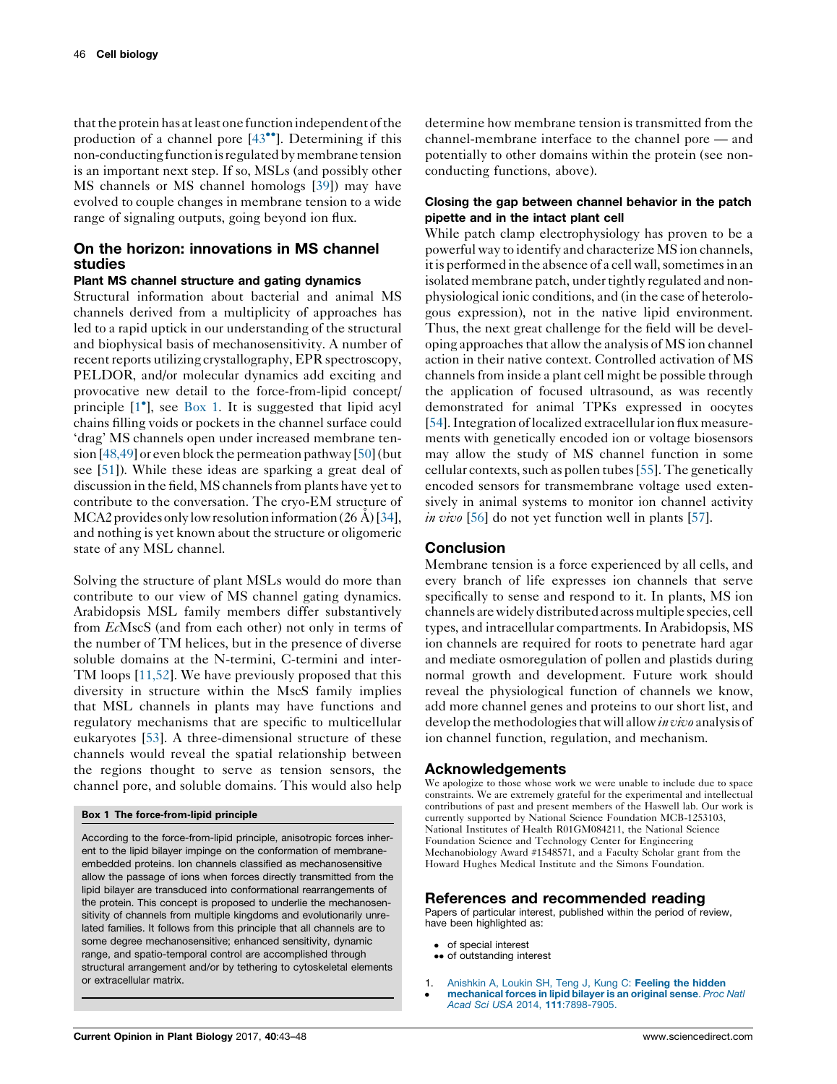<span id="page-3-0"></span>that the protein has at least one function independent of the production of a channel pore  $[43\degree]$ . [Determining](#page-5-0) if this non-conducting function is regulated by membrane tension is an important next step. If so, MSLs (and possibly other MS channels or MS channel homologs [\[39](#page-5-0)]) may have evolved to couple changes in membrane tension to a wide range of signaling outputs, going beyond ion flux.

# On the horizon: innovations in MS channel studies

## Plant MS channel structure and gating dynamics

Structural information about bacterial and animal MS channels derived from a multiplicity of approaches has led to a rapid uptick in our understanding of the structural and biophysical basis of mechanosensitivity. A number of recent reports utilizing crystallography, EPR spectroscopy, PELDOR, and/or molecular dynamics add exciting and provocative new detail to the force-from-lipid concept/ principle [1<sup>\*</sup>], see Box 1. It is suggested that lipid acyl chains filling voids or pockets in the channel surface could 'drag' MS channels open under increased membrane ten-sion [\[48,49\]](#page-5-0) or even block the permeation pathway [\[50\]](#page-5-0) (but see [\[51](#page-5-0)]). While these ideas are sparking a great deal of discussion in the field, MS channels from plants have yet to contribute to the conversation. The cryo-EM structure of MCA2 provides only low resolution information  $(26 \text{ Å})$  [\[34](#page-4-0)], and nothing is yet known about the structure or oligomeric state of any MSL channel.

Solving the structure of plant MSLs would do more than contribute to our view of MS channel gating dynamics. Arabidopsis MSL family members differ substantively from EcMscS (and from each other) not only in terms of the number of TM helices, but in the presence of diverse soluble domains at the N-termini, C-termini and inter-TM loops [[11,52](#page-4-0)]. We have previously proposed that this diversity in structure within the MscS family implies that MSL channels in plants may have functions and regulatory mechanisms that are specific to multicellular eukaryotes [[53\]](#page-5-0). A three-dimensional structure of these channels would reveal the spatial relationship between the regions thought to serve as tension sensors, the channel pore, and soluble domains. This would also help

#### Box 1 The force-from-lipid principle

According to the force-from-lipid principle, anisotropic forces inherent to the lipid bilayer impinge on the conformation of membraneembedded proteins. Ion channels classified as mechanosensitive allow the passage of ions when forces directly transmitted from the lipid bilayer are transduced into conformational rearrangements of the protein. This concept is proposed to underlie the mechanosensitivity of channels from multiple kingdoms and evolutionarily unrelated families. It follows from this principle that all channels are to some degree mechanosensitive; enhanced sensitivity, dynamic range, and spatio-temporal control are accomplished through structural arrangement and/or by tethering to cytoskeletal elements or extracellular matrix.

determine how membrane tension is transmitted from the channel-membrane interface to the channel pore — and potentially to other domains within the protein (see nonconducting functions, above).

## Closing the gap between channel behavior in the patch pipette and in the intact plant cell

While patch clamp electrophysiology has proven to be a powerful way to identify and characterize MS ion channels, it is performed in the absence of a cell wall, sometimes in an isolated membrane patch, under tightly regulated and nonphysiological ionic conditions, and (in the case of heterologous expression), not in the native lipid environment. Thus, the next great challenge for the field will be developing approaches that allow the analysis of MS ion channel action in their native context. Controlled activation of MS channels from inside a plant cell might be possible through the application of focused ultrasound, as was recently demonstrated for animal TPKs expressed in oocytes [\[54](#page-5-0)]. Integration of localized extracellular ion flux measurements with genetically encoded ion or voltage biosensors may allow the study of MS channel function in some cellular contexts, such as pollen tubes [[55\]](#page-5-0). The genetically encoded sensors for transmembrane voltage used extensively in animal systems to monitor ion channel activity in vivo [[56\]](#page-5-0) do not yet function well in plants [\[57](#page-5-0)].

## Conclusion

Membrane tension is a force experienced by all cells, and every branch of life expresses ion channels that serve specifically to sense and respond to it. In plants, MS ion channels arewidely distributed acrossmultiple species, cell types, and intracellular compartments. In Arabidopsis, MS ion channels are required for roots to penetrate hard agar and mediate osmoregulation of pollen and plastids during normal growth and development. Future work should reveal the physiological function of channels we know, add more channel genes and proteins to our short list, and develop the methodologies that will allow *in vivo* analysis of ion channel function, regulation, and mechanism.

## Acknowledgements

We apologize to those whose work we were unable to include due to space constraints. We are extremely grateful for the experimental and intellectual contributions of past and present members of the Haswell lab. Our work is currently supported by National Science Foundation MCB-1253103, National Institutes of Health R01GM084211, the National Science Foundation Science and Technology Center for Engineering Mechanobiology Award #1548571, and a Faculty Scholar grant from the Howard Hughes Medical Institute and the Simons Foundation.

## References and recommended reading

Papers of particular interest, published within the period of review, have been highlighted as:

- of special interest
- •• of outstanding interest
- 1.  $\bullet$ [Anishkin](http://refhub.elsevier.com/S1369-5266(17)30049-3/sbref0005) A, Loukin SH, Teng J, Kung C: Feeling the hidden [mechanical](http://refhub.elsevier.com/S1369-5266(17)30049-3/sbref0005) forces in lipid bilayer is an original sense. Proc Natl Acad Sci USA 2014, 111[:7898-7905.](http://refhub.elsevier.com/S1369-5266(17)30049-3/sbref0005)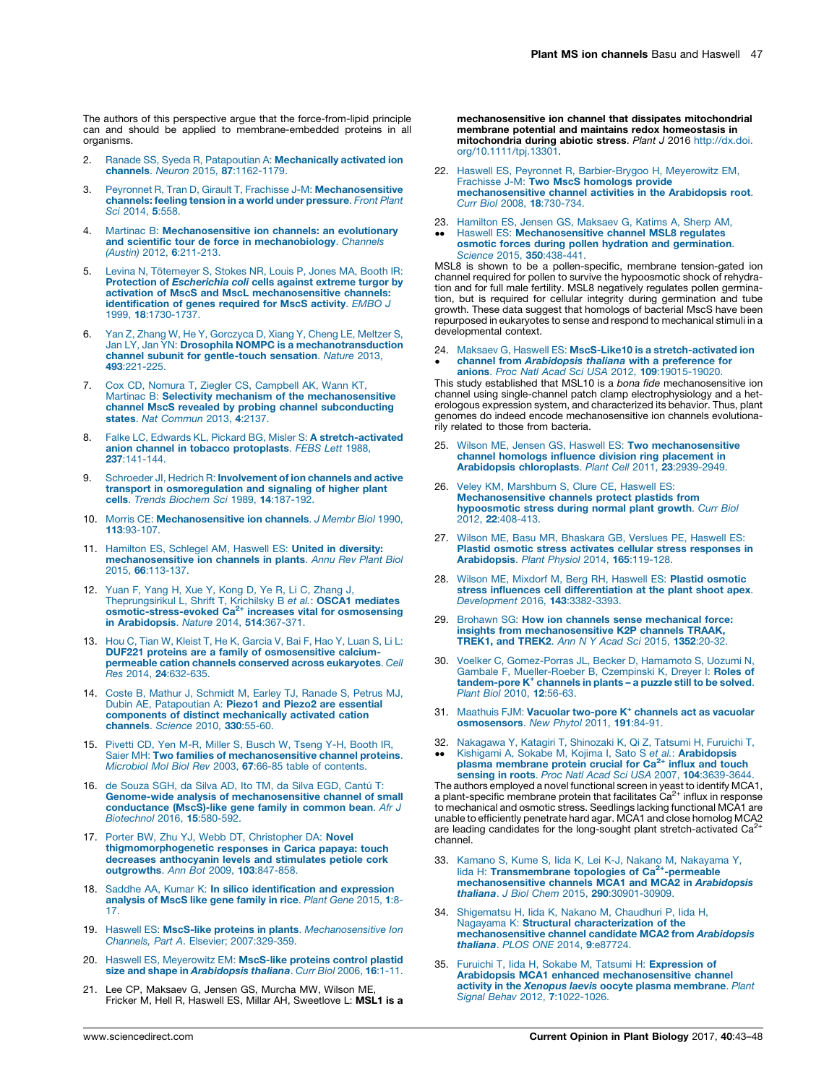<span id="page-4-0"></span>The authors of this perspective argue that the force-from-lipid principle can and should be applied to membrane-embedded proteins in all organisms.

- 2. Ranade SS, Syeda R, Patapoutian A: [Mechanically](http://refhub.elsevier.com/S1369-5266(17)30049-3/sbref0010) activated ion channels. Neuron 2015, 87[:1162-1179.](http://refhub.elsevier.com/S1369-5266(17)30049-3/sbref0010)
- 3. Peyronnet R, Tran D, Girault T, Frachisse J-M: [Mechanosensitive](http://refhub.elsevier.com/S1369-5266(17)30049-3/sbref0015) [channels:](http://refhub.elsevier.com/S1369-5266(17)30049-3/sbref0015) feeling tension in a world under pressure. Front Plant Sci [2014,](http://refhub.elsevier.com/S1369-5266(17)30049-3/sbref0015) 5:558.
- 4. Martinac B: [Mechanosensitive](http://refhub.elsevier.com/S1369-5266(17)30049-3/sbref0020) ion channels: an evolutionary and scientific tour de force in [mechanobiology](http://refhub.elsevier.com/S1369-5266(17)30049-3/sbref0020). Channels (Austin) 2012, 6[:211-213.](http://refhub.elsevier.com/S1369-5266(17)30049-3/sbref0020)
- 5. Levina N, Tö[temeyer](http://refhub.elsevier.com/S1369-5266(17)30049-3/sbref0025) S, Stokes NR, Louis P, Jones MA, Booth IR: Protection of [Escherichia](http://refhub.elsevier.com/S1369-5266(17)30049-3/sbref0025) coli cells against extreme turgor by activation of MscS and MscL [mechanosensitive](http://refhub.elsevier.com/S1369-5266(17)30049-3/sbref0025) channels: [identification](http://refhub.elsevier.com/S1369-5266(17)30049-3/sbref0025) of genes required for MscS activity. EMBO J 1999, 18[:1730-1737.](http://refhub.elsevier.com/S1369-5266(17)30049-3/sbref0025)
- 6. Yan Z, Zhang W, He Y, [Gorczyca](http://refhub.elsevier.com/S1369-5266(17)30049-3/sbref0030) D, Xiang Y, Cheng LE, Meltzer S, Jan LY, Jan YN: Drosophila NOMPC is a [mechanotransduction](http://refhub.elsevier.com/S1369-5266(17)30049-3/sbref0030) channel subunit for [gentle-touch](http://refhub.elsevier.com/S1369-5266(17)30049-3/sbref0030) sensation. Nature 2013, 493[:221-225.](http://refhub.elsevier.com/S1369-5266(17)30049-3/sbref0030)
- 7. Cox CD, Nomura T, Ziegler CS, [Campbell](http://refhub.elsevier.com/S1369-5266(17)30049-3/sbref0035) AK, Wann KT, Martinac B: Selectivity mechanism of the [mechanosensitive](http://refhub.elsevier.com/S1369-5266(17)30049-3/sbref0035) channel MscS revealed by probing channel [subconducting](http://refhub.elsevier.com/S1369-5266(17)30049-3/sbref0035) states. Nat [Commun](http://refhub.elsevier.com/S1369-5266(17)30049-3/sbref0035) 2013, 4:2137.
- 8. Falke LC, Edwards KL, Pickard BG, Misler S: A [stretch-activated](http://refhub.elsevier.com/S1369-5266(17)30049-3/sbref0040) anion channel in tobacco [protoplasts](http://refhub.elsevier.com/S1369-5266(17)30049-3/sbref0040). FEBS Lett 1988, 237[:141-144.](http://refhub.elsevier.com/S1369-5266(17)30049-3/sbref0040)
- 9. Schroeder Jl, Hedrich R: [Involvement](http://refhub.elsevier.com/S1369-5266(17)30049-3/sbref0045) of ion channels and active transport in [osmoregulation](http://refhub.elsevier.com/S1369-5266(17)30049-3/sbref0045) and signaling of higher plant cells. Trends Biochem Sci 1989, 14[:187-192.](http://refhub.elsevier.com/S1369-5266(17)30049-3/sbref0045)
- 10. Morris CE: [Mechanosensitive](http://refhub.elsevier.com/S1369-5266(17)30049-3/sbref0050) ion channels. J Membr Biol 1990, 113[:93-107.](http://refhub.elsevier.com/S1369-5266(17)30049-3/sbref0050)
- 11. Hamilton ES, Schlegel AM, Haswell ES: United in [diversity:](http://refhub.elsevier.com/S1369-5266(17)30049-3/sbref0055) [mechanosensitive](http://refhub.elsevier.com/S1369-5266(17)30049-3/sbref0055) ion channels in plants. Annu Rev Plant Biol 2015, 66[:113-137.](http://refhub.elsevier.com/S1369-5266(17)30049-3/sbref0055)
- 12. Yuan F, Yang H, Xue Y, Kong D, Ye R, Li C, [Zhang](http://refhub.elsevier.com/S1369-5266(17)30049-3/sbref0060) J, [Theprungsirikul](http://refhub.elsevier.com/S1369-5266(17)30049-3/sbref0060) L, Shrift T, Krichilsky B et al.: OSCA1 mediates [osmotic-stress-evoked](http://refhub.elsevier.com/S1369-5266(17)30049-3/sbref0060) Ca2+ increases vital for osmosensing in [Arabidopsis](http://refhub.elsevier.com/S1369-5266(17)30049-3/sbref0060). Nature 2014, 514:367-371.
- 13. Hou C, Tian W, Kleist T, He K, [Garcia](http://refhub.elsevier.com/S1369-5266(17)30049-3/sbref0065) V, Bai F, Hao Y, Luan S, Li L: DUF221 proteins are a family of [osmosensitive](http://refhub.elsevier.com/S1369-5266(17)30049-3/sbref0065) calciumpermeable cation channels conserved across [eukaryotes](http://refhub.elsevier.com/S1369-5266(17)30049-3/sbref0065). Cell Res 2014, 24[:632-635.](http://refhub.elsevier.com/S1369-5266(17)30049-3/sbref0065)
- 14. Coste B, Mathur J, [Schmidt](http://refhub.elsevier.com/S1369-5266(17)30049-3/sbref0070) M, Earley TJ, Ranade S, Petrus MJ, Dubin AE, [Patapoutian](http://refhub.elsevier.com/S1369-5266(17)30049-3/sbref0070) A: Piezo1 and Piezo2 are essential components of distinct [mechanically](http://refhub.elsevier.com/S1369-5266(17)30049-3/sbref0070) activated cation [channels](http://refhub.elsevier.com/S1369-5266(17)30049-3/sbref0070). Science 2010, 330:55-60.
- 15. Pivetti CD, Yen M-R, Miller S, [Busch](http://refhub.elsevier.com/S1369-5266(17)30049-3/sbref0075) W, Tseng Y-H, Booth IR, Saier MH: Two families of [mechanosensitive](http://refhub.elsevier.com/S1369-5266(17)30049-3/sbref0075) channel proteins. Microbiol Mol Biol Rev 2003, 67:66-85 table of [contents.](http://refhub.elsevier.com/S1369-5266(17)30049-3/sbref0075)
- 16. de [Souza](http://refhub.elsevier.com/S1369-5266(17)30049-3/sbref0080) SGH, da Silva AD, Ito TM, da Silva EGD, Cantú T: Genome-wide analysis of [mechanosensitive](http://refhub.elsevier.com/S1369-5266(17)30049-3/sbref0080) channel of small [conductance](http://refhub.elsevier.com/S1369-5266(17)30049-3/sbref0080) (MscS)-like gene family in common bean. Afr J [Biotechnol](http://refhub.elsevier.com/S1369-5266(17)30049-3/sbref0080) 2016, 15:580-592.
- 17. Porter BW, Zhu YJ, Webb DT, [Christopher](http://refhub.elsevier.com/S1369-5266(17)30049-3/sbref0085) DA: Novel [thigmomorphogenetic](http://refhub.elsevier.com/S1369-5266(17)30049-3/sbref0085) responses in Carica papaya: touch decreases [anthocyanin](http://refhub.elsevier.com/S1369-5266(17)30049-3/sbref0085) levels and stimulates petiole cork [outgrowths](http://refhub.elsevier.com/S1369-5266(17)30049-3/sbref0085). Ann Bot 2009, 103:847-858.
- 18. Saddhe AA, Kumar K: In silico [identification](http://refhub.elsevier.com/S1369-5266(17)30049-3/sbref0090) and expression [analysis](http://refhub.elsevier.com/S1369-5266(17)30049-3/sbref0090) of MscS like gene family in rice. Plant Gene 2015, 1:8- [17.](http://refhub.elsevier.com/S1369-5266(17)30049-3/sbref0090)
- 19. Haswell ES: MscS-like proteins in plants. [Mechanosensitive](http://refhub.elsevier.com/S1369-5266(17)30049-3/sbref0095) Ion Channels, Part A. Elsevier; [2007:329-359](http://refhub.elsevier.com/S1369-5266(17)30049-3/sbref0095).
- 20. Haswell ES, [Meyerowitz](http://refhub.elsevier.com/S1369-5266(17)30049-3/sbref0100) EM: MscS-like proteins control plastid size and shape in [Arabidopsis](http://refhub.elsevier.com/S1369-5266(17)30049-3/sbref0100) thaliana. Curr Biol 2006, 16:1-11.
- 21. Lee CP, Maksaev G, Jensen GS, Murcha MW, Wilson ME Fricker M, Hell R, Haswell ES, Millar AH, Sweetlove L: MSL1 is a

mechanosensitive ion channel that dissipates mitochondrial membrane potential and maintains redox homeostasis in mitochondria during abiotic stress. Plant J 2016 [http://dx.doi.](http://dx.doi.org/10.1111/tpj.13301) [org/10.1111/tpj.13301.](http://dx.doi.org/10.1111/tpj.13301)

- 22. Haswell ES, Peyronnet R, [Barbier-Brygoo](http://refhub.elsevier.com/S1369-5266(17)30049-3/sbref0110) H, Meyerowitz EM, Frachisse J-M: Two MscS [homologs](http://refhub.elsevier.com/S1369-5266(17)30049-3/sbref0110) provide [mechanosensitive](http://refhub.elsevier.com/S1369-5266(17)30049-3/sbref0110) channel activities in the Arabidopsis root. Curr Biol 2008, 18[:730-734.](http://refhub.elsevier.com/S1369-5266(17)30049-3/sbref0110)
- 23. Hamilton ES, Jensen GS, [Maksaev](http://refhub.elsevier.com/S1369-5266(17)30049-3/sbref0115) G, Katims A, Sherp AM,  $\ddot{\phantom{0}}$ Haswell ES: [Mechanosensitive](http://refhub.elsevier.com/S1369-5266(17)30049-3/sbref0115) channel MSL8 regulates osmotic forces during pollen hydration and [germination](http://refhub.elsevier.com/S1369-5266(17)30049-3/sbref0115). Science 2015, 350[:438-441.](http://refhub.elsevier.com/S1369-5266(17)30049-3/sbref0115)

MSL8 is shown to be a pollen-specific, membrane tension-gated ion channel required for pollen to survive the hypoosmotic shock of rehydration and for full male fertility. MSL8 negatively regulates pollen germination, but is required for cellular integrity during germination and tube growth. These data suggest that homologs of bacterial MscS have been repurposed in eukaryotes to sense and respond to mechanical stimuli in a developmental context.

24. Maksaev G, Haswell ES: MscS-Like10 is a [stretch-activated](http://refhub.elsevier.com/S1369-5266(17)30049-3/sbref0120) ion  $\cdot$ channel from [Arabidopsis](http://refhub.elsevier.com/S1369-5266(17)30049-3/sbref0120) thaliana with a preference for anions. Proc Natl Acad Sci USA 2012, 109[:19015-19020.](http://refhub.elsevier.com/S1369-5266(17)30049-3/sbref0120)

This study established that MSL10 is a bona fide mechanosensitive ion channel using single-channel patch clamp electrophysiology and a heterologous expression system, and characterized its behavior. Thus, plant genomes do indeed encode mechanosensitive ion channels evolutionarily related to those from bacteria.

- 25. Wilson ME, Jensen GS, Haswell ES: Two [mechanosensitive](http://refhub.elsevier.com/S1369-5266(17)30049-3/sbref0125) channel homologs influence division ring [placement](http://refhub.elsevier.com/S1369-5266(17)30049-3/sbref0125) in Arabidopsis [chloroplasts](http://refhub.elsevier.com/S1369-5266(17)30049-3/sbref0125). Plant Cell 2011, 23:2939-2949.
- 26. Veley KM, [Marshburn](http://refhub.elsevier.com/S1369-5266(17)30049-3/sbref0130) S, Clure CE, Haswell ES: [Mechanosensitive](http://refhub.elsevier.com/S1369-5266(17)30049-3/sbref0130) channels protect plastids from [hypoosmotic](http://refhub.elsevier.com/S1369-5266(17)30049-3/sbref0130) stress during normal plant growth. Curr Biol 2012, 22[:408-413.](http://refhub.elsevier.com/S1369-5266(17)30049-3/sbref0130)
- 27. Wilson ME, Basu MR, [Bhaskara](http://refhub.elsevier.com/S1369-5266(17)30049-3/sbref0135) GB, Verslues PE, Haswell ES: Plastid osmotic stress activates cellular stress [responses](http://refhub.elsevier.com/S1369-5266(17)30049-3/sbref0135) in [Arabidopsis](http://refhub.elsevier.com/S1369-5266(17)30049-3/sbref0135). Plant Physiol 2014, 165:119-128.
- 28. Wilson ME, Mixdorf M, Berg RH, Haswell ES: Plastid [osmotic](http://refhub.elsevier.com/S1369-5266(17)30049-3/sbref0140) stress influences cell [differentiation](http://refhub.elsevier.com/S1369-5266(17)30049-3/sbref0140) at the plant shoot apex.<br>[Development](http://refhub.elsevier.com/S1369-5266(17)30049-3/sbref0140) 2016, 143:3382-3393.
- 29. Brohawn SG: How ion channels sense [mechanical](http://refhub.elsevier.com/S1369-5266(17)30049-3/sbref0145) force: insights from [mechanosensitive](http://refhub.elsevier.com/S1369-5266(17)30049-3/sbref0145) K2P channels TRAAK, [TREK1,](http://refhub.elsevier.com/S1369-5266(17)30049-3/sbref0145) and TREK2. Ann N Y Acad Sci 2015, 1352:20-32.
- 30. Voelker C, [Gomez-Porras](http://refhub.elsevier.com/S1369-5266(17)30049-3/sbref0150) JL, Becker D, Hamamoto S, Uozumi N, Gambale F, [Mueller-Roeber](http://refhub.elsevier.com/S1369-5266(17)30049-3/sbref0150) B, Czempinski K, Dreyer I: Roles of [tandem-pore](http://refhub.elsevier.com/S1369-5266(17)30049-3/sbref0150) K<sup>+</sup> channels in plants – a puzzle still to be solved. Plant Biol 2010, 12[:56-63.](http://refhub.elsevier.com/S1369-5266(17)30049-3/sbref0150)
- 31. Maathuis FJM: Vacuolar [two-pore](http://refhub.elsevier.com/S1369-5266(17)30049-3/sbref0155) K<sup>+</sup> channels act as vacuolar [osmosensors](http://refhub.elsevier.com/S1369-5266(17)30049-3/sbref0155). New Phytol 2011, 191:84-91.
- 32.  $\ddot{\phantom{0}}$ [Nakagawa](http://refhub.elsevier.com/S1369-5266(17)30049-3/sbref0160) Y, Katagiri T, Shinozaki K, Qi Z, Tatsumi H, Furuichi T,<br>Kishigami A, Sokabe M, Kojima I, Sato S *et al.*: **[Arabidopsis](http://refhub.elsevier.com/S1369-5266(17)30049-3/sbref0160)**<br>**plasma [membrane](http://refhub.elsevier.com/S1369-5266(17)30049-3/sbref0160) protein crucial for Ca<sup>2+</sup> influx and touch** sensing in roots. Proc Natl Acad Sci USA 2007, 104[:3639-3644.](http://refhub.elsevier.com/S1369-5266(17)30049-3/sbref0160)

The authors employed a novel functional screen in yeast to identify MCA1,<br>a plant-specific membrane protein that facilitates Ca<sup>2+</sup> influx in response to mechanical and osmotic stress. Seedlings lacking functional MCA1 are unable to efficiently penetrate hard agar. MCA1 and close homolog MCA2 are leading candidates for the long-sought plant stretch-activated Ca<sup>2</sup> channel.

- 33. Kamano S, Kume S, Iida K, Lei K-J, Nakano M, [Nakayama](http://refhub.elsevier.com/S1369-5266(17)30049-3/sbref0165) Y, lida H: [Transmembrane](http://refhub.elsevier.com/S1369-5266(17)30049-3/sbref0165) topologies of Ca<sup>2+</sup>-permeable [mechanosensitive](http://refhub.elsevier.com/S1369-5266(17)30049-3/sbref0165) channels MCA1 and MCA2 in Arabidopsis thaliana. J Biol Chem 2015, 290[:30901-30909.](http://refhub.elsevier.com/S1369-5266(17)30049-3/sbref0165)
- 34. [Shigematsu](http://refhub.elsevier.com/S1369-5266(17)30049-3/sbref0170) H, Iida K, Nakano M, Chaudhuri P, Iida H,<br>Nagayama K: **Structural [characterization](http://refhub.elsevier.com/S1369-5266(17)30049-3/sbref0170) of the** [mechanosensitive](http://refhub.elsevier.com/S1369-5266(17)30049-3/sbref0170) channel candidate MCA2 from Arabidopsis thaliana. PLOS ONE 2014, 9[:e87724.](http://refhub.elsevier.com/S1369-5266(17)30049-3/sbref0170)
- 35. Furuichi T, lida H, Sokabe M, Tatsumi H: [Expression](http://refhub.elsevier.com/S1369-5266(17)30049-3/sbref0175) of Arabidopsis MCA1 enhanced [mechanosensitive](http://refhub.elsevier.com/S1369-5266(17)30049-3/sbref0175) channel activity in the Xenopus laevis oocyte plasma [membrane](http://refhub.elsevier.com/S1369-5266(17)30049-3/sbref0175). Plant Signal Behav 2012, 7[:1022-1026.](http://refhub.elsevier.com/S1369-5266(17)30049-3/sbref0175)